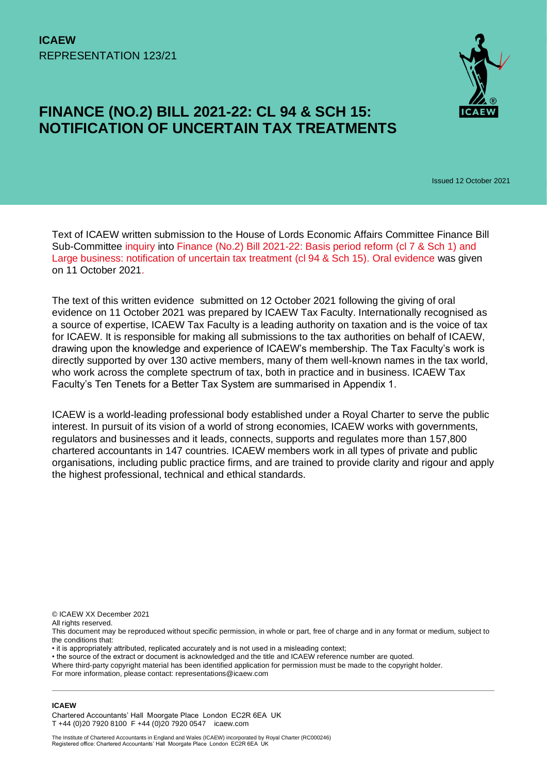

# **FINANCE (NO.2) BILL 2021-22: CL 94 & SCH 15: NOTIFICATION OF UNCERTAIN TAX TREATMENTS**

Issued 12 October 2021

Text of ICAEW written submission to the House of Lords Economic Affairs Committee Finance Bill Sub-Committee [inquiry](https://committees.parliament.uk/call-for-evidence/585/) into [Finance \(No.2\) Bill 2021-22:](https://bills.parliament.uk/bills/2835) Basis period reform (cl 7 & Sch 1) and Large business: notification of uncertain tax treatment (cl 94 & Sch 15). [Oral evidence](https://committees.parliament.uk/event/5577/formal-meeting-oral-evidence-session/) was given on 11 October 2021.

The text of this written evidence submitted on 12 October 2021 following the giving of oral evidence on 11 October 2021 was prepared by ICAEW Tax Faculty. Internationally recognised as a source of expertise, ICAEW Tax Faculty is a leading authority on taxation and is the voice of tax for ICAEW. It is responsible for making all submissions to the tax authorities on behalf of ICAEW, drawing upon the knowledge and experience of ICAEW's membership. The Tax Faculty's work is directly supported by over 130 active members, many of them well-known names in the tax world, who work across the complete spectrum of tax, both in practice and in business. ICAEW Tax Faculty's Ten Tenets for a Better Tax System are summarised in Appendix 1.

ICAEW is a world-leading professional body established under a Royal Charter to serve the public interest. In pursuit of its vision of a world of strong economies, ICAEW works with governments, regulators and businesses and it leads, connects, supports and regulates more than 157,800 chartered accountants in 147 countries. ICAEW members work in all types of private and public organisations, including public practice firms, and are trained to provide clarity and rigour and apply the highest professional, technical and ethical standards.

© ICAEW XX December 2021

All rights reserved.

This document may be reproduced without specific permission, in whole or part, free of charge and in any format or medium, subject to the conditions that:

• it is appropriately attributed, replicated accurately and is not used in a misleading context;

• the source of the extract or document is acknowledged and the title and ICAEW reference number are quoted.

Where third-party copyright material has been identified application for permission must be made to the copyright holder. For more information, please contact: representations@icaew.com

#### **ICAEW**

Chartered Accountants' Hall Moorgate Place London EC2R 6EA UK T +44 (0)20 7920 8100 F +44 (0)20 7920 0547 icaew.com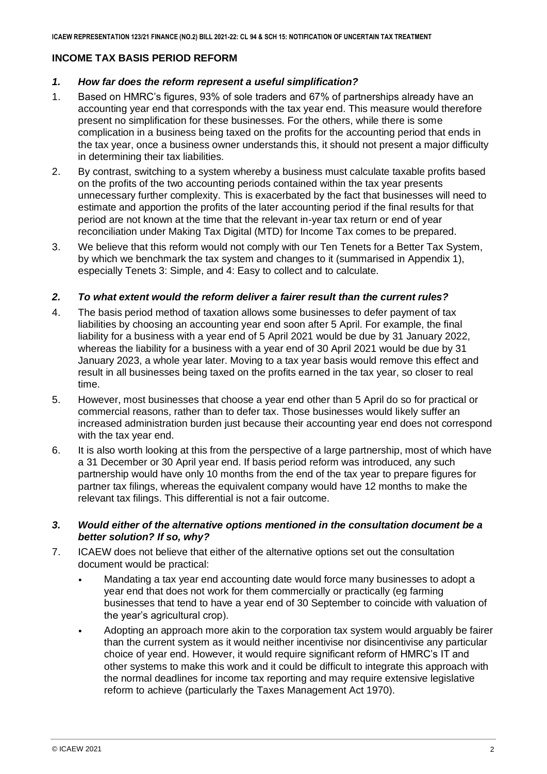# **INCOME TAX BASIS PERIOD REFORM**

# *1. How far does the reform represent a useful simplification?*

- 1. Based on HMRC's figures, 93% of sole traders and 67% of partnerships already have an accounting year end that corresponds with the tax year end. This measure would therefore present no simplification for these businesses. For the others, while there is some complication in a business being taxed on the profits for the accounting period that ends in the tax year, once a business owner understands this, it should not present a major difficulty in determining their tax liabilities.
- 2. By contrast, switching to a system whereby a business must calculate taxable profits based on the profits of the two accounting periods contained within the tax year presents unnecessary further complexity. This is exacerbated by the fact that businesses will need to estimate and apportion the profits of the later accounting period if the final results for that period are not known at the time that the relevant in-year tax return or end of year reconciliation under Making Tax Digital (MTD) for Income Tax comes to be prepared.
- 3. We believe that this reform would not comply with our Ten Tenets for a Better Tax System, by which we benchmark the tax system and changes to it (summarised in Appendix 1), especially Tenets 3: Simple, and 4: Easy to collect and to calculate.

# *2. To what extent would the reform deliver a fairer result than the current rules?*

- 4. The basis period method of taxation allows some businesses to defer payment of tax liabilities by choosing an accounting year end soon after 5 April. For example, the final liability for a business with a year end of 5 April 2021 would be due by 31 January 2022, whereas the liability for a business with a year end of 30 April 2021 would be due by 31 January 2023, a whole year later. Moving to a tax year basis would remove this effect and result in all businesses being taxed on the profits earned in the tax year, so closer to real time.
- 5. However, most businesses that choose a year end other than 5 April do so for practical or commercial reasons, rather than to defer tax. Those businesses would likely suffer an increased administration burden just because their accounting year end does not correspond with the tax year end.
- 6. It is also worth looking at this from the perspective of a large partnership, most of which have a 31 December or 30 April year end. If basis period reform was introduced, any such partnership would have only 10 months from the end of the tax year to prepare figures for partner tax filings, whereas the equivalent company would have 12 months to make the relevant tax filings. This differential is not a fair outcome.

# *3. Would either of the alternative options mentioned in the consultation document be a better solution? If so, why?*

- 7. ICAEW does not believe that either of the alternative options set out the consultation document would be practical:
	- Mandating a tax year end accounting date would force many businesses to adopt a year end that does not work for them commercially or practically (eg farming businesses that tend to have a year end of 30 September to coincide with valuation of the year's agricultural crop).
	- Adopting an approach more akin to the corporation tax system would arguably be fairer than the current system as it would neither incentivise nor disincentivise any particular choice of year end. However, it would require significant reform of HMRC's IT and other systems to make this work and it could be difficult to integrate this approach with the normal deadlines for income tax reporting and may require extensive legislative reform to achieve (particularly the Taxes Management Act 1970).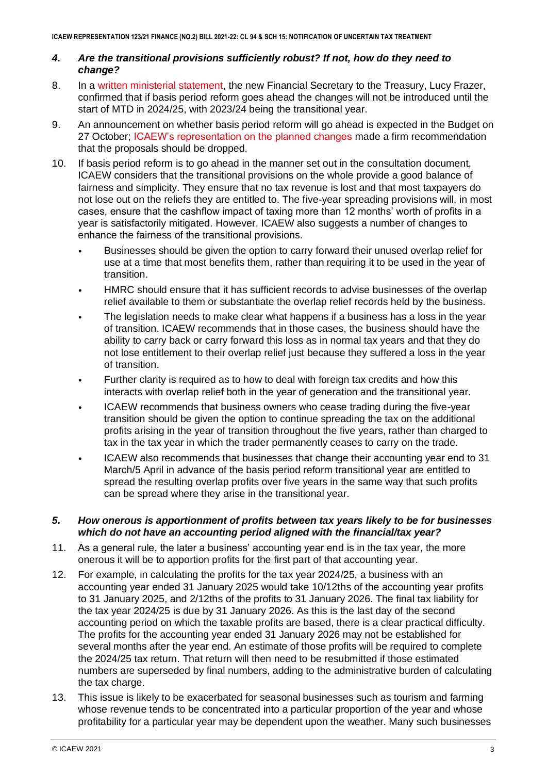# *4. Are the transitional provisions sufficiently robust? If not, how do they need to change?*

- 8. In a [written ministerial statement,](https://questions-statements.parliament.uk/written-statements/detail/2021-09-23/hcws308) the new Financial Secretary to the Treasury, Lucy Frazer, confirmed that if basis period reform goes ahead the changes will not be introduced until the start of MTD in 2024/25, with 2023/24 being the transitional year.
- 9. An announcement on whether basis period reform will go ahead is expected in the Budget on 27 October; [ICAEW's representation on the planned changes](https://www.icaew.com/insights/tax-news/2021/aug-2021/drop-proposed-basis-period-reform-urges-icaew) made a firm recommendation that the proposals should be dropped.
- 10. If basis period reform is to go ahead in the manner set out in the consultation document, ICAEW considers that the transitional provisions on the whole provide a good balance of fairness and simplicity. They ensure that no tax revenue is lost and that most taxpayers do not lose out on the reliefs they are entitled to. The five-year spreading provisions will, in most cases, ensure that the cashflow impact of taxing more than 12 months' worth of profits in a year is satisfactorily mitigated. However, ICAEW also suggests a number of changes to enhance the fairness of the transitional provisions.
	- Businesses should be given the option to carry forward their unused overlap relief for use at a time that most benefits them, rather than requiring it to be used in the year of transition.
	- HMRC should ensure that it has sufficient records to advise businesses of the overlap relief available to them or substantiate the overlap relief records held by the business.
	- The legislation needs to make clear what happens if a business has a loss in the year of transition. ICAEW recommends that in those cases, the business should have the ability to carry back or carry forward this loss as in normal tax years and that they do not lose entitlement to their overlap relief just because they suffered a loss in the year of transition.
	- Further clarity is required as to how to deal with foreign tax credits and how this interacts with overlap relief both in the year of generation and the transitional year.
	- ICAEW recommends that business owners who cease trading during the five-year transition should be given the option to continue spreading the tax on the additional profits arising in the year of transition throughout the five years, rather than charged to tax in the tax year in which the trader permanently ceases to carry on the trade.
	- ICAEW also recommends that businesses that change their accounting year end to 31 March/5 April in advance of the basis period reform transitional year are entitled to spread the resulting overlap profits over five years in the same way that such profits can be spread where they arise in the transitional year.

# *5. How onerous is apportionment of profits between tax years likely to be for businesses which do not have an accounting period aligned with the financial/tax year?*

- 11. As a general rule, the later a business' accounting year end is in the tax year, the more onerous it will be to apportion profits for the first part of that accounting year.
- 12. For example, in calculating the profits for the tax year 2024/25, a business with an accounting year ended 31 January 2025 would take 10/12ths of the accounting year profits to 31 January 2025, and 2/12ths of the profits to 31 January 2026. The final tax liability for the tax year 2024/25 is due by 31 January 2026. As this is the last day of the second accounting period on which the taxable profits are based, there is a clear practical difficulty. The profits for the accounting year ended 31 January 2026 may not be established for several months after the year end. An estimate of those profits will be required to complete the 2024/25 tax return. That return will then need to be resubmitted if those estimated numbers are superseded by final numbers, adding to the administrative burden of calculating the tax charge.
- 13. This issue is likely to be exacerbated for seasonal businesses such as tourism and farming whose revenue tends to be concentrated into a particular proportion of the year and whose profitability for a particular year may be dependent upon the weather. Many such businesses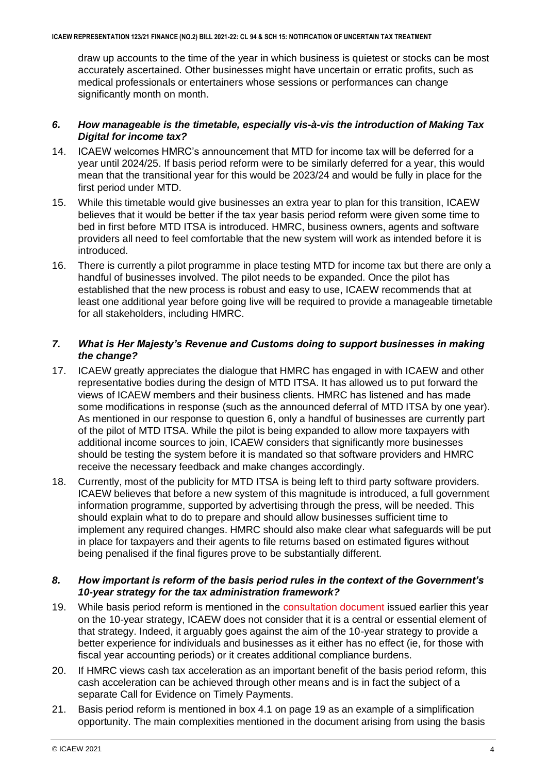draw up accounts to the time of the year in which business is quietest or stocks can be most accurately ascertained. Other businesses might have uncertain or erratic profits, such as medical professionals or entertainers whose sessions or performances can change significantly month on month.

## *6. How manageable is the timetable, especially vis-à-vis the introduction of Making Tax Digital for income tax?*

- 14. ICAEW welcomes HMRC's announcement that MTD for income tax will be deferred for a year until 2024/25. If basis period reform were to be similarly deferred for a year, this would mean that the transitional year for this would be 2023/24 and would be fully in place for the first period under MTD.
- 15. While this timetable would give businesses an extra year to plan for this transition, ICAEW believes that it would be better if the tax year basis period reform were given some time to bed in first before MTD ITSA is introduced. HMRC, business owners, agents and software providers all need to feel comfortable that the new system will work as intended before it is introduced.
- 16. There is currently a pilot programme in place testing MTD for income tax but there are only a handful of businesses involved. The pilot needs to be expanded. Once the pilot has established that the new process is robust and easy to use, ICAEW recommends that at least one additional year before going live will be required to provide a manageable timetable for all stakeholders, including HMRC.

# *7. What is Her Majesty's Revenue and Customs doing to support businesses in making the change?*

- 17. ICAEW greatly appreciates the dialogue that HMRC has engaged in with ICAEW and other representative bodies during the design of MTD ITSA. It has allowed us to put forward the views of ICAEW members and their business clients. HMRC has listened and has made some modifications in response (such as the announced deferral of MTD ITSA by one year). As mentioned in our response to question 6, only a handful of businesses are currently part of the pilot of MTD ITSA. While the pilot is being expanded to allow more taxpayers with additional income sources to join, ICAEW considers that significantly more businesses should be testing the system before it is mandated so that software providers and HMRC receive the necessary feedback and make changes accordingly.
- 18. Currently, most of the publicity for MTD ITSA is being left to third party software providers. ICAEW believes that before a new system of this magnitude is introduced, a full government information programme, supported by advertising through the press, will be needed. This should explain what to do to prepare and should allow businesses sufficient time to implement any required changes. HMRC should also make clear what safeguards will be put in place for taxpayers and their agents to file returns based on estimated figures without being penalised if the final figures prove to be substantially different.

# *8. How important is reform of the basis period rules in the context of the Government's 10-year strategy for the tax administration framework?*

- 19. While basis period reform is mentioned in the [consultation document](https://assets.publishing.service.gov.uk/government/uploads/system/uploads/attachment_data/file/972148/The_tax_administration_framework_Supporting_a_21st_century_tax_system_-_call_for_evidence.pdf) issued earlier this year on the 10-year strategy, ICAEW does not consider that it is a central or essential element of that strategy. Indeed, it arguably goes against the aim of the 10-year strategy to provide a better experience for individuals and businesses as it either has no effect (ie, for those with fiscal year accounting periods) or it creates additional compliance burdens.
- 20. If HMRC views cash tax acceleration as an important benefit of the basis period reform, this cash acceleration can be achieved through other means and is in fact the subject of a separate Call for Evidence on Timely Payments.
- 21. Basis period reform is mentioned in box 4.1 on page 19 as an example of a simplification opportunity. The main complexities mentioned in the document arising from using the basis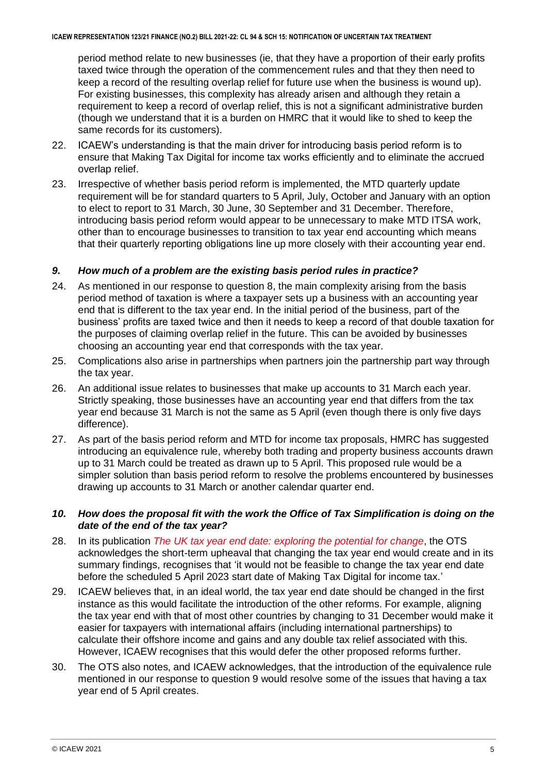period method relate to new businesses (ie, that they have a proportion of their early profits taxed twice through the operation of the commencement rules and that they then need to keep a record of the resulting overlap relief for future use when the business is wound up). For existing businesses, this complexity has already arisen and although they retain a requirement to keep a record of overlap relief, this is not a significant administrative burden (though we understand that it is a burden on HMRC that it would like to shed to keep the same records for its customers).

- 22. ICAEW's understanding is that the main driver for introducing basis period reform is to ensure that Making Tax Digital for income tax works efficiently and to eliminate the accrued overlap relief.
- 23. Irrespective of whether basis period reform is implemented, the MTD quarterly update requirement will be for standard quarters to 5 April, July, October and January with an option to elect to report to 31 March, 30 June, 30 September and 31 December. Therefore, introducing basis period reform would appear to be unnecessary to make MTD ITSA work, other than to encourage businesses to transition to tax year end accounting which means that their quarterly reporting obligations line up more closely with their accounting year end.

# *9. How much of a problem are the existing basis period rules in practice?*

- 24. As mentioned in our response to question 8, the main complexity arising from the basis period method of taxation is where a taxpayer sets up a business with an accounting year end that is different to the tax year end. In the initial period of the business, part of the business' profits are taxed twice and then it needs to keep a record of that double taxation for the purposes of claiming overlap relief in the future. This can be avoided by businesses choosing an accounting year end that corresponds with the tax year.
- 25. Complications also arise in partnerships when partners join the partnership part way through the tax year.
- 26. An additional issue relates to businesses that make up accounts to 31 March each year. Strictly speaking, those businesses have an accounting year end that differs from the tax year end because 31 March is not the same as 5 April (even though there is only five days difference).
- 27. As part of the basis period reform and MTD for income tax proposals, HMRC has suggested introducing an equivalence rule, whereby both trading and property business accounts drawn up to 31 March could be treated as drawn up to 5 April. This proposed rule would be a simpler solution than basis period reform to resolve the problems encountered by businesses drawing up accounts to 31 March or another calendar quarter end.

# *10. How does the proposal fit with the work the Office of Tax Simplification is doing on the date of the end of the tax year?*

- 28. In its publication *[The UK tax year end date: exploring the potential for change](https://assets.publishing.service.gov.uk/government/uploads/system/uploads/attachment_data/file/1016718/Tax_year_end_date_report___web_copy_.pdf)*, the OTS acknowledges the short-term upheaval that changing the tax year end would create and in its summary findings, recognises that 'it would not be feasible to change the tax year end date before the scheduled 5 April 2023 start date of Making Tax Digital for income tax.'
- 29. ICAEW believes that, in an ideal world, the tax year end date should be changed in the first instance as this would facilitate the introduction of the other reforms. For example, aligning the tax year end with that of most other countries by changing to 31 December would make it easier for taxpayers with international affairs (including international partnerships) to calculate their offshore income and gains and any double tax relief associated with this. However, ICAEW recognises that this would defer the other proposed reforms further.
- 30. The OTS also notes, and ICAEW acknowledges, that the introduction of the equivalence rule mentioned in our response to question 9 would resolve some of the issues that having a tax year end of 5 April creates.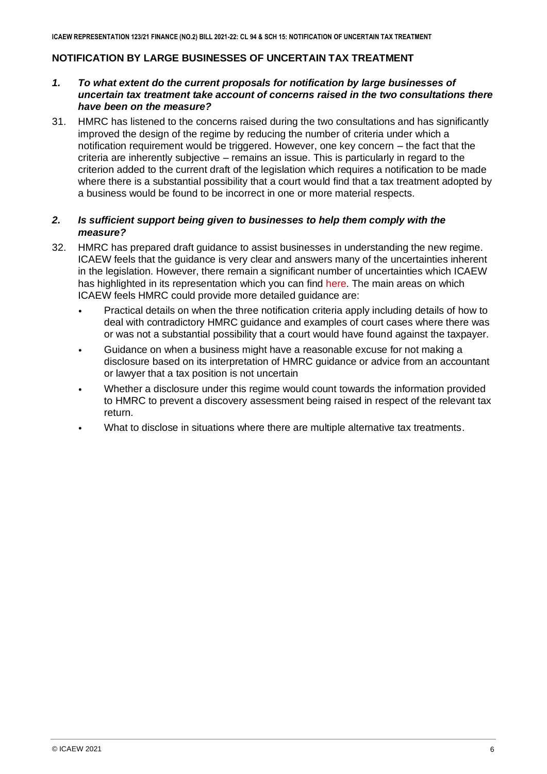# **NOTIFICATION BY LARGE BUSINESSES OF UNCERTAIN TAX TREATMENT**

# *1. To what extent do the current proposals for notification by large businesses of uncertain tax treatment take account of concerns raised in the two consultations there have been on the measure?*

31. HMRC has listened to the concerns raised during the two consultations and has significantly improved the design of the regime by reducing the number of criteria under which a notification requirement would be triggered. However, one key concern – the fact that the criteria are inherently subjective – remains an issue. This is particularly in regard to the criterion added to the current draft of the legislation which requires a notification to be made where there is a substantial possibility that a court would find that a tax treatment adopted by a business would be found to be incorrect in one or more material respects.

# *2. Is sufficient support being given to businesses to help them comply with the measure?*

- 32. HMRC has prepared draft guidance to assist businesses in understanding the new regime. ICAEW feels that the guidance is very clear and answers many of the uncertainties inherent in the legislation. However, there remain a significant number of uncertainties which ICAEW has highlighted in its representation which you can find [here.](https://www.icaew.com/-/media/corporate/files/technical/icaew-representations/2021/icaew-rep-86-21-notification-of-uncertain-tax-treatments.ashx) The main areas on which ICAEW feels HMRC could provide more detailed guidance are:
	- Practical details on when the three notification criteria apply including details of how to deal with contradictory HMRC guidance and examples of court cases where there was or was not a substantial possibility that a court would have found against the taxpayer.
	- Guidance on when a business might have a reasonable excuse for not making a disclosure based on its interpretation of HMRC guidance or advice from an accountant or lawyer that a tax position is not uncertain
	- Whether a disclosure under this regime would count towards the information provided to HMRC to prevent a discovery assessment being raised in respect of the relevant tax return.
	- What to disclose in situations where there are multiple alternative tax treatments.